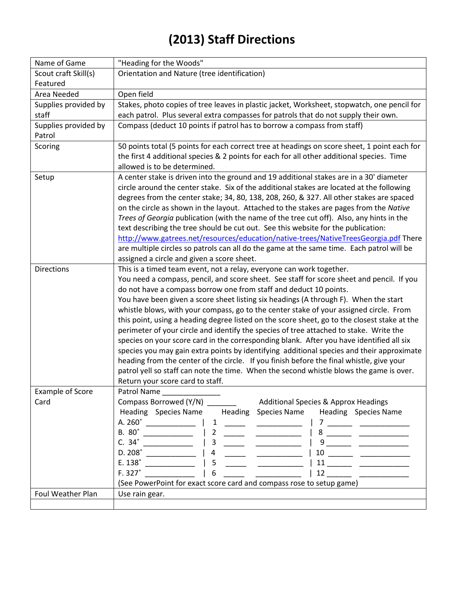## **(2013) Staff Directions**

| Name of Game                    | "Heading for the Woods"                                                                                                                                                                                                                                                                                                                                                                                                                                                                                                                                                                                        |
|---------------------------------|----------------------------------------------------------------------------------------------------------------------------------------------------------------------------------------------------------------------------------------------------------------------------------------------------------------------------------------------------------------------------------------------------------------------------------------------------------------------------------------------------------------------------------------------------------------------------------------------------------------|
| Scout craft Skill(s)            | Orientation and Nature (tree identification)                                                                                                                                                                                                                                                                                                                                                                                                                                                                                                                                                                   |
| Featured                        |                                                                                                                                                                                                                                                                                                                                                                                                                                                                                                                                                                                                                |
| Area Needed                     | Open field                                                                                                                                                                                                                                                                                                                                                                                                                                                                                                                                                                                                     |
| Supplies provided by            | Stakes, photo copies of tree leaves in plastic jacket, Worksheet, stopwatch, one pencil for                                                                                                                                                                                                                                                                                                                                                                                                                                                                                                                    |
| staff                           | each patrol. Plus several extra compasses for patrols that do not supply their own.                                                                                                                                                                                                                                                                                                                                                                                                                                                                                                                            |
| Supplies provided by            | Compass (deduct 10 points if patrol has to borrow a compass from staff)                                                                                                                                                                                                                                                                                                                                                                                                                                                                                                                                        |
| Patrol                          |                                                                                                                                                                                                                                                                                                                                                                                                                                                                                                                                                                                                                |
| Scoring                         | 50 points total (5 points for each correct tree at headings on score sheet, 1 point each for                                                                                                                                                                                                                                                                                                                                                                                                                                                                                                                   |
|                                 | the first 4 additional species & 2 points for each for all other additional species. Time                                                                                                                                                                                                                                                                                                                                                                                                                                                                                                                      |
|                                 | allowed is to be determined.                                                                                                                                                                                                                                                                                                                                                                                                                                                                                                                                                                                   |
| Setup                           | A center stake is driven into the ground and 19 additional stakes are in a 30' diameter                                                                                                                                                                                                                                                                                                                                                                                                                                                                                                                        |
|                                 | circle around the center stake. Six of the additional stakes are located at the following                                                                                                                                                                                                                                                                                                                                                                                                                                                                                                                      |
|                                 | degrees from the center stake; 34, 80, 138, 208, 260, & 327. All other stakes are spaced                                                                                                                                                                                                                                                                                                                                                                                                                                                                                                                       |
|                                 | on the circle as shown in the layout. Attached to the stakes are pages from the Native                                                                                                                                                                                                                                                                                                                                                                                                                                                                                                                         |
|                                 | Trees of Georgia publication (with the name of the tree cut off). Also, any hints in the                                                                                                                                                                                                                                                                                                                                                                                                                                                                                                                       |
|                                 | text describing the tree should be cut out. See this website for the publication:                                                                                                                                                                                                                                                                                                                                                                                                                                                                                                                              |
|                                 | http://www.gatrees.net/resources/education/native-trees/NativeTreesGeorgia.pdf There                                                                                                                                                                                                                                                                                                                                                                                                                                                                                                                           |
|                                 | are multiple circles so patrols can all do the game at the same time. Each patrol will be                                                                                                                                                                                                                                                                                                                                                                                                                                                                                                                      |
|                                 | assigned a circle and given a score sheet.                                                                                                                                                                                                                                                                                                                                                                                                                                                                                                                                                                     |
| <b>Directions</b>               | This is a timed team event, not a relay, everyone can work together.                                                                                                                                                                                                                                                                                                                                                                                                                                                                                                                                           |
|                                 | You need a compass, pencil, and score sheet. See staff for score sheet and pencil. If you                                                                                                                                                                                                                                                                                                                                                                                                                                                                                                                      |
|                                 | do not have a compass borrow one from staff and deduct 10 points.                                                                                                                                                                                                                                                                                                                                                                                                                                                                                                                                              |
|                                 | You have been given a score sheet listing six headings (A through F). When the start                                                                                                                                                                                                                                                                                                                                                                                                                                                                                                                           |
|                                 | whistle blows, with your compass, go to the center stake of your assigned circle. From                                                                                                                                                                                                                                                                                                                                                                                                                                                                                                                         |
|                                 | this point, using a heading degree listed on the score sheet, go to the closest stake at the                                                                                                                                                                                                                                                                                                                                                                                                                                                                                                                   |
|                                 | perimeter of your circle and identify the species of tree attached to stake. Write the                                                                                                                                                                                                                                                                                                                                                                                                                                                                                                                         |
|                                 | species on your score card in the corresponding blank. After you have identified all six                                                                                                                                                                                                                                                                                                                                                                                                                                                                                                                       |
|                                 | species you may gain extra points by identifying additional species and their approximate                                                                                                                                                                                                                                                                                                                                                                                                                                                                                                                      |
|                                 | heading from the center of the circle. If you finish before the final whistle, give your                                                                                                                                                                                                                                                                                                                                                                                                                                                                                                                       |
|                                 | patrol yell so staff can note the time. When the second whistle blows the game is over.                                                                                                                                                                                                                                                                                                                                                                                                                                                                                                                        |
|                                 | Return your score card to staff.                                                                                                                                                                                                                                                                                                                                                                                                                                                                                                                                                                               |
| <b>Example of Score</b><br>Card | Patrol Name                                                                                                                                                                                                                                                                                                                                                                                                                                                                                                                                                                                                    |
|                                 | Compass Borrowed (Y/N)<br>Additional Species & Approx Headings<br><b>Heading</b> Species Name<br>Heading Species Name<br>Heading Species Name                                                                                                                                                                                                                                                                                                                                                                                                                                                                  |
|                                 | A. 260°<br>1<br>7                                                                                                                                                                                                                                                                                                                                                                                                                                                                                                                                                                                              |
|                                 | <u>and the state of the state</u><br>B. 80°<br>2                                                                                                                                                                                                                                                                                                                                                                                                                                                                                                                                                               |
|                                 | $C. 34^\circ$<br>3                                                                                                                                                                                                                                                                                                                                                                                                                                                                                                                                                                                             |
|                                 | ______<br>D. 208°<br>4                                                                                                                                                                                                                                                                                                                                                                                                                                                                                                                                                                                         |
|                                 | E. 138°<br>5<br>$\begin{tabular}{c} 11 \end{tabular} \begin{tabular}{c} \begin{tabular}{c} \textbf{11} \end{tabular} \end{tabular} \end{tabular}$                                                                                                                                                                                                                                                                                                                                                                                                                                                              |
|                                 | F. 327°<br>6<br>$\begin{tabular}{c} $12 \; \underline{\hspace{1cm}}$ & $\underline{\hspace{1cm}}$ \\ \underline{\hspace{1cm}}$ & $\underline{\hspace{1cm}}$ \\ \underline{\hspace{1cm}}$ & $\underline{\hspace{1cm}}$ \\ \underline{\hspace{1cm}}$ & $\underline{\hspace{1cm}}$ \\ \underline{\hspace{1cm}}$ & $\underline{\hspace{1cm}}$ \\ \underline{\hspace{1cm}}$ & $\underline{\hspace{1cm}}$ \\ \underline{\hspace{1cm}}$ & $\underline{\hspace{1cm}}$ \\ \underline{\hspace{1cm}}$ & $\underline{\hspace{1cm}}$ \\ \underline{\hspace{1cm}}$ & $\underline{\hspace{1cm}}$ \\ \underline{\hspace{1cm}}$ |
|                                 | (See PowerPoint for exact score card and compass rose to setup game)                                                                                                                                                                                                                                                                                                                                                                                                                                                                                                                                           |
| Foul Weather Plan               | Use rain gear.                                                                                                                                                                                                                                                                                                                                                                                                                                                                                                                                                                                                 |
|                                 |                                                                                                                                                                                                                                                                                                                                                                                                                                                                                                                                                                                                                |